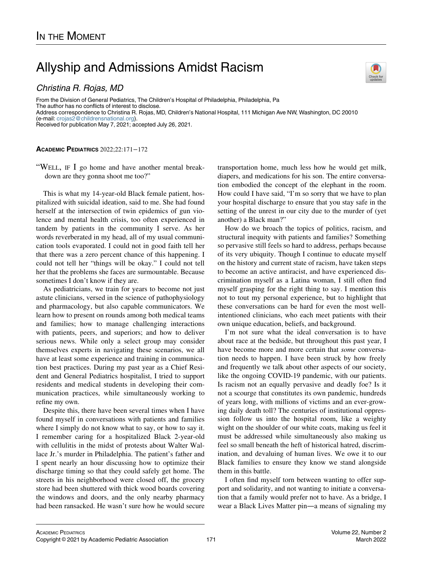## Allyship and Admissions Amidst Racism

## Christina R. Rojas, MD

From the Division of General Pediatrics, The Children's Hospital of Philadelphia, Philadelphia, Pa The author has no conflicts of interest to disclose. Address correspondence to Christina R. Rojas, MD, Children's National Hospital, 111 Michigan Ave NW, Washington, DC 20010 (e-mail: [crojas2@childrensnational.org](mailto:crojas2@childrensnational.org)). Received for publication May 7, 2021; accepted July 26, 2021.

## ACADEMIC PEDIATRICS 2022;22:171−172

"WELL, IF I go home and have another mental breakdown are they gonna shoot me too?"

This is what my 14-year-old Black female patient, hospitalized with suicidal ideation, said to me. She had found herself at the intersection of twin epidemics of gun violence and mental health crisis, too often experienced in tandem by patients in the community I serve. As her words reverberated in my head, all of my usual communication tools evaporated. I could not in good faith tell her that there was a zero percent chance of this happening. I could not tell her "things will be okay." I could not tell her that the problems she faces are surmountable. Because sometimes I don't know if they are.

As pediatricians, we train for years to become not just astute clinicians, versed in the science of pathophysiology and pharmacology, but also capable communicators. We learn how to present on rounds among both medical teams and families; how to manage challenging interactions with patients, peers, and superiors; and how to deliver serious news. While only a select group may consider themselves experts in navigating these scenarios, we all have at least some experience and training in communication best practices. During my past year as a Chief Resident and General Pediatrics hospitalist, I tried to support residents and medical students in developing their communication practices, while simultaneously working to refine my own.

Despite this, there have been several times when I have found myself in conversations with patients and families where I simply do not know what to say, or how to say it. I remember caring for a hospitalized Black 2-year-old with cellulitis in the midst of protests about Walter Wallace Jr.'s murder in Philadelphia. The patient's father and I spent nearly an hour discussing how to optimize their discharge timing so that they could safely get home. The streets in his neighborhood were closed off, the grocery store had been shuttered with thick wood boards covering the windows and doors, and the only nearby pharmacy had been ransacked. He wasn't sure how he would secure transportation home, much less how he would get milk, diapers, and medications for his son. The entire conversation embodied the concept of the elephant in the room. How could I have said, "I'm so sorry that we have to plan your hospital discharge to ensure that you stay safe in the setting of the unrest in our city due to the murder of (yet another) a Black man?"

How do we broach the topics of politics, racism, and structural inequity with patients and families? Something so pervasive still feels so hard to address, perhaps because of its very ubiquity. Though I continue to educate myself on the history and current state of racism, have taken steps to become an active antiracist, and have experienced discrimination myself as a Latina woman, I still often find myself grasping for the right thing to say. I mention this not to tout my personal experience, but to highlight that these conversations can be hard for even the most wellintentioned clinicians, who each meet patients with their own unique education, beliefs, and background.

I'm not sure what the ideal conversation is to have about race at the bedside, but throughout this past year, I have become more and more certain that some conversation needs to happen. I have been struck by how freely and frequently we talk about other aspects of our society, like the ongoing COVID-19 pandemic, with our patients. Is racism not an equally pervasive and deadly foe? Is it not a scourge that constitutes its own pandemic, hundreds of years long, with millions of victims and an ever-growing daily death toll? The centuries of institutional oppression follow us into the hospital room, like a weighty wight on the shoulder of our white coats, making us feel it must be addressed while simultaneously also making us feel so small beneath the heft of historical hatred, discrimination, and devaluing of human lives. We owe it to our Black families to ensure they know we stand alongside them in this battle.

I often find myself torn between wanting to offer support and solidarity, and not wanting to initiate a conversation that a family would prefer not to have. As a bridge, I wear a Black Lives Matter pin—a means of signaling my